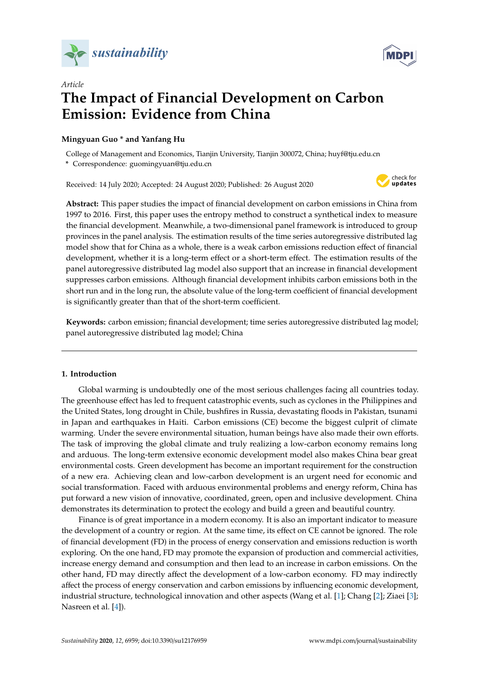



# *Article* **The Impact of Financial Development on Carbon Emission: Evidence from China**

# **Mingyuan Guo \* and Yanfang Hu**

College of Management and Economics, Tianjin University, Tianjin 300072, China; huyf@tju.edu.cn **\*** Correspondence: guomingyuan@tju.edu.cn

Received: 14 July 2020; Accepted: 24 August 2020; Published: 26 August 2020



**Abstract:** This paper studies the impact of financial development on carbon emissions in China from 1997 to 2016. First, this paper uses the entropy method to construct a synthetical index to measure the financial development. Meanwhile, a two-dimensional panel framework is introduced to group provinces in the panel analysis. The estimation results of the time series autoregressive distributed lag model show that for China as a whole, there is a weak carbon emissions reduction effect of financial development, whether it is a long-term effect or a short-term effect. The estimation results of the panel autoregressive distributed lag model also support that an increase in financial development suppresses carbon emissions. Although financial development inhibits carbon emissions both in the short run and in the long run, the absolute value of the long-term coefficient of financial development is significantly greater than that of the short-term coefficient.

**Keywords:** carbon emission; financial development; time series autoregressive distributed lag model; panel autoregressive distributed lag model; China

# **1. Introduction**

Global warming is undoubtedly one of the most serious challenges facing all countries today. The greenhouse effect has led to frequent catastrophic events, such as cyclones in the Philippines and the United States, long drought in Chile, bushfires in Russia, devastating floods in Pakistan, tsunami in Japan and earthquakes in Haiti. Carbon emissions (CE) become the biggest culprit of climate warming. Under the severe environmental situation, human beings have also made their own efforts. The task of improving the global climate and truly realizing a low-carbon economy remains long and arduous. The long-term extensive economic development model also makes China bear great environmental costs. Green development has become an important requirement for the construction of a new era. Achieving clean and low-carbon development is an urgent need for economic and social transformation. Faced with arduous environmental problems and energy reform, China has put forward a new vision of innovative, coordinated, green, open and inclusive development. China demonstrates its determination to protect the ecology and build a green and beautiful country.

Finance is of great importance in a modern economy. It is also an important indicator to measure the development of a country or region. At the same time, its effect on CE cannot be ignored. The role of financial development (FD) in the process of energy conservation and emissions reduction is worth exploring. On the one hand, FD may promote the expansion of production and commercial activities, increase energy demand and consumption and then lead to an increase in carbon emissions. On the other hand, FD may directly affect the development of a low-carbon economy. FD may indirectly affect the process of energy conservation and carbon emissions by influencing economic development, industrial structure, technological innovation and other aspects (Wang et al. [\[1\]](#page-14-0); Chang [\[2\]](#page-14-1); Ziaei [\[3\]](#page-14-2); Nasreen et al. [\[4\]](#page-14-3)).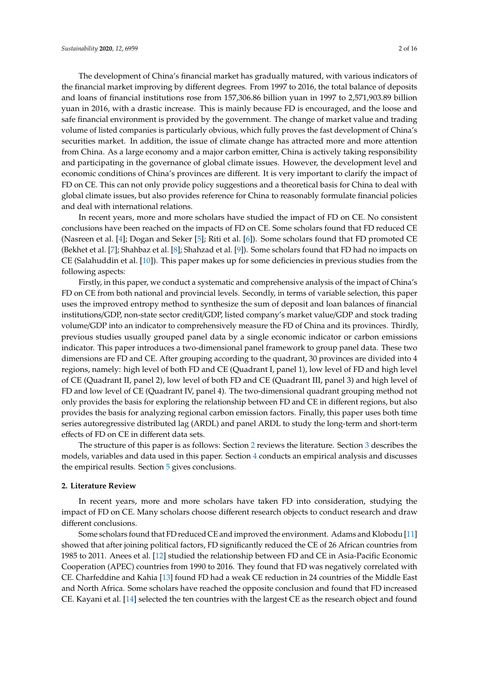The development of China's financial market has gradually matured, with various indicators of the financial market improving by different degrees. From 1997 to 2016, the total balance of deposits and loans of financial institutions rose from 157,306.86 billion yuan in 1997 to 2,571,903.89 billion yuan in 2016, with a drastic increase. This is mainly because FD is encouraged, and the loose and safe financial environment is provided by the government. The change of market value and trading volume of listed companies is particularly obvious, which fully proves the fast development of China's securities market. In addition, the issue of climate change has attracted more and more attention from China. As a large economy and a major carbon emitter, China is actively taking responsibility and participating in the governance of global climate issues. However, the development level and economic conditions of China's provinces are different. It is very important to clarify the impact of FD on CE. This can not only provide policy suggestions and a theoretical basis for China to deal with global climate issues, but also provides reference for China to reasonably formulate financial policies and deal with international relations.

In recent years, more and more scholars have studied the impact of FD on CE. No consistent conclusions have been reached on the impacts of FD on CE. Some scholars found that FD reduced CE (Nasreen et al. [\[4\]](#page-14-3); Dogan and Seker [\[5\]](#page-14-4); Riti et al. [\[6\]](#page-14-5)). Some scholars found that FD promoted CE (Bekhet et al. [\[7\]](#page-14-6); Shahbaz et al. [\[8\]](#page-14-7); Shahzad et al. [\[9\]](#page-14-8)). Some scholars found that FD had no impacts on CE (Salahuddin et al. [\[10\]](#page-14-9)). This paper makes up for some deficiencies in previous studies from the following aspects:

Firstly, in this paper, we conduct a systematic and comprehensive analysis of the impact of China's FD on CE from both national and provincial levels. Secondly, in terms of variable selection, this paper uses the improved entropy method to synthesize the sum of deposit and loan balances of financial institutions/GDP, non-state sector credit/GDP, listed company's market value/GDP and stock trading volume/GDP into an indicator to comprehensively measure the FD of China and its provinces. Thirdly, previous studies usually grouped panel data by a single economic indicator or carbon emissions indicator. This paper introduces a two-dimensional panel framework to group panel data. These two dimensions are FD and CE. After grouping according to the quadrant, 30 provinces are divided into 4 regions, namely: high level of both FD and CE (Quadrant I, panel 1), low level of FD and high level of CE (Quadrant II, panel 2), low level of both FD and CE (Quadrant III, panel 3) and high level of FD and low level of CE (Quadrant IV, panel 4). The two-dimensional quadrant grouping method not only provides the basis for exploring the relationship between FD and CE in different regions, but also provides the basis for analyzing regional carbon emission factors. Finally, this paper uses both time series autoregressive distributed lag (ARDL) and panel ARDL to study the long-term and short-term effects of FD on CE in different data sets.

The structure of this paper is as follows: Section [2](#page-1-0) reviews the literature. Section [3](#page-2-0) describes the models, variables and data used in this paper. Section [4](#page-5-0) conducts an empirical analysis and discusses the empirical results. Section [5](#page-13-0) gives conclusions.

#### <span id="page-1-0"></span>**2. Literature Review**

In recent years, more and more scholars have taken FD into consideration, studying the impact of FD on CE. Many scholars choose different research objects to conduct research and draw different conclusions.

Some scholars found that FD reduced CE and improved the environment. Adams and Klobodu [\[11\]](#page-14-10) showed that after joining political factors, FD significantly reduced the CE of 26 African countries from 1985 to 2011. Anees et al. [\[12\]](#page-14-11) studied the relationship between FD and CE in Asia-Pacific Economic Cooperation (APEC) countries from 1990 to 2016. They found that FD was negatively correlated with CE. Charfeddine and Kahia [\[13\]](#page-14-12) found FD had a weak CE reduction in 24 countries of the Middle East and North Africa. Some scholars have reached the opposite conclusion and found that FD increased CE. Kayani et al. [\[14\]](#page-14-13) selected the ten countries with the largest CE as the research object and found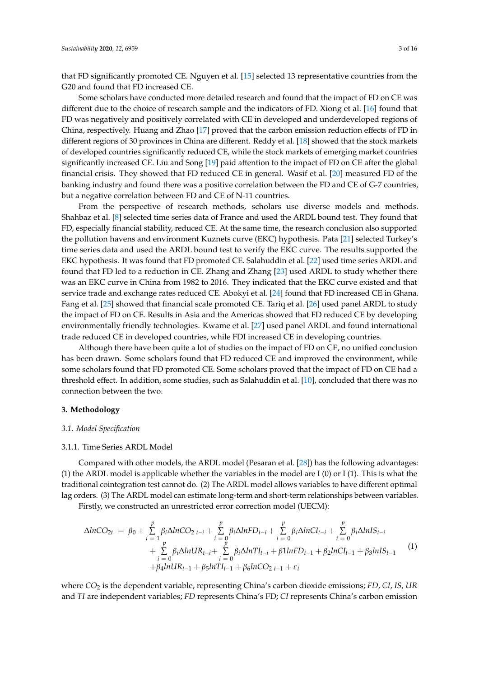that FD significantly promoted CE. Nguyen et al. [\[15\]](#page-14-14) selected 13 representative countries from the G20 and found that FD increased CE.

Some scholars have conducted more detailed research and found that the impact of FD on CE was different due to the choice of research sample and the indicators of FD. Xiong et al. [\[16\]](#page-14-15) found that FD was negatively and positively correlated with CE in developed and underdeveloped regions of China, respectively. Huang and Zhao [\[17\]](#page-15-0) proved that the carbon emission reduction effects of FD in different regions of 30 provinces in China are different. Reddy et al. [\[18\]](#page-15-1) showed that the stock markets of developed countries significantly reduced CE, while the stock markets of emerging market countries significantly increased CE. Liu and Song [\[19\]](#page-15-2) paid attention to the impact of FD on CE after the global financial crisis. They showed that FD reduced CE in general. Wasif et al. [\[20\]](#page-15-3) measured FD of the banking industry and found there was a positive correlation between the FD and CE of G-7 countries, but a negative correlation between FD and CE of N-11 countries.

From the perspective of research methods, scholars use diverse models and methods. Shahbaz et al. [\[8\]](#page-14-7) selected time series data of France and used the ARDL bound test. They found that FD, especially financial stability, reduced CE. At the same time, the research conclusion also supported the pollution havens and environment Kuznets curve (EKC) hypothesis. Pata [\[21\]](#page-15-4) selected Turkey's time series data and used the ARDL bound test to verify the EKC curve. The results supported the EKC hypothesis. It was found that FD promoted CE. Salahuddin et al. [\[22\]](#page-15-5) used time series ARDL and found that FD led to a reduction in CE. Zhang and Zhang [\[23\]](#page-15-6) used ARDL to study whether there was an EKC curve in China from 1982 to 2016. They indicated that the EKC curve existed and that service trade and exchange rates reduced CE. Abokyi et al. [\[24\]](#page-15-7) found that FD increased CE in Ghana. Fang et al. [\[25\]](#page-15-8) showed that financial scale promoted CE. Tariq et al. [\[26\]](#page-15-9) used panel ARDL to study the impact of FD on CE. Results in Asia and the Americas showed that FD reduced CE by developing environmentally friendly technologies. Kwame et al. [\[27\]](#page-15-10) used panel ARDL and found international trade reduced CE in developed countries, while FDI increased CE in developing countries.

Although there have been quite a lot of studies on the impact of FD on CE, no unified conclusion has been drawn. Some scholars found that FD reduced CE and improved the environment, while some scholars found that FD promoted CE. Some scholars proved that the impact of FD on CE had a threshold effect. In addition, some studies, such as Salahuddin et al. [\[10\]](#page-14-9), concluded that there was no connection between the two.

#### <span id="page-2-0"></span>**3. Methodology**

### *3.1. Model Specification*

#### 3.1.1. Time Series ARDL Model

Compared with other models, the ARDL model (Pesaran et al. [\[28\]](#page-15-11)) has the following advantages: (1) the ARDL model is applicable whether the variables in the model are I (0) or I (1). This is what the traditional cointegration test cannot do. (2) The ARDL model allows variables to have different optimal lag orders. (3) The ARDL model can estimate long-term and short-term relationships between variables.

Firstly, we constructed an unrestricted error correction model (UECM):

$$
\Delta ln CO_{2t} = \beta_0 + \sum_{i=1}^{p} \beta_i \Delta ln CO_{2t-i} + \sum_{i=0}^{p} \beta_i \Delta ln FD_{t-i} + \sum_{i=0}^{p} \beta_i \Delta ln CI_{t-i} + \sum_{i=0}^{p} \beta_i \Delta ln IS_{t-i} + \sum_{i=0}^{p} \beta_i \Delta ln IR_{t-i} + \sum_{i=0}^{p} \beta_i \Delta ln IR_{t-i} + \sum_{i=0}^{p} \beta_i \Delta ln TI_{t-i} + \beta 1 ln FD_{t-1} + \beta_2 ln CI_{t-1} + \beta_3 ln IS_{t-1}
$$
\n(1)  
+  $\beta_4 ln UR_{t-1} + \beta_5 ln TI_{t-1} + \beta_6 ln CO_{2t-1} + \varepsilon_t$ 

where *CO*<sup>2</sup> is the dependent variable, representing China's carbon dioxide emissions; *FD*, *CI*, *IS*, *UR* and *TI* are independent variables; *FD* represents China's FD; *CI* represents China's carbon emission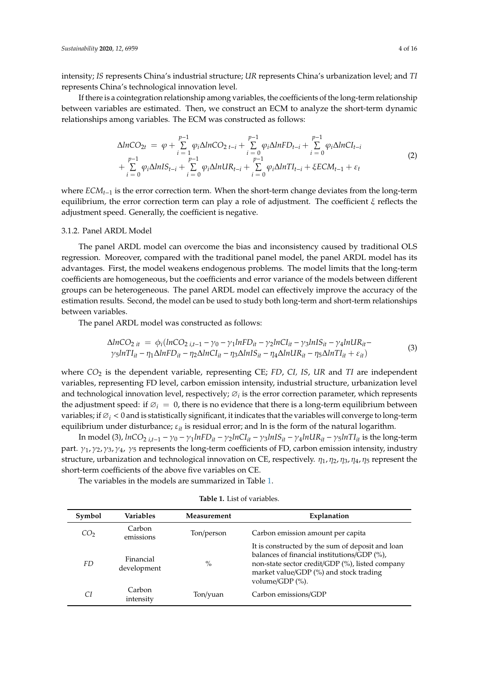intensity; *IS* represents China's industrial structure; *UR* represents China's urbanization level; and *TI* represents China's technological innovation level.

If there is a cointegration relationship among variables, the coefficients of the long-term relationship between variables are estimated. Then, we construct an ECM to analyze the short-term dynamic relationships among variables. The ECM was constructed as follows:

$$
\Delta ln CO_{2t} = \varphi + \sum_{i=1}^{p-1} \varphi_i \Delta ln CO_{2t-i} + \sum_{i=0}^{p-1} \varphi_i \Delta ln FD_{t-i} + \sum_{i=0}^{p-1} \varphi_i \Delta ln CI_{t-i} + \sum_{i=0}^{p-1} \varphi_i \Delta ln IS_{t-i} + \sum_{i=0}^{p-1} \varphi_i \Delta ln IL_{t-i} + \sum_{i=0}^{p-1} \varphi_i \Delta ln TI_{t-i} + \xi ECM_{t-1} + \varepsilon_t
$$
\n(2)

where *ECMt*−<sup>1</sup> is the error correction term. When the short-term change deviates from the long-term equilibrium, the error correction term can play a role of adjustment. The coefficient  $\xi$  reflects the adjustment speed. Generally, the coefficient is negative.

# 3.1.2. Panel ARDL Model

The panel ARDL model can overcome the bias and inconsistency caused by traditional OLS regression. Moreover, compared with the traditional panel model, the panel ARDL model has its advantages. First, the model weakens endogenous problems. The model limits that the long-term coefficients are homogeneous, but the coefficients and error variance of the models between different groups can be heterogeneous. The panel ARDL model can effectively improve the accuracy of the estimation results. Second, the model can be used to study both long-term and short-term relationships between variables.

The panel ARDL model was constructed as follows:

$$
\Delta ln CO_{2it} = \phi_i (ln CO_{2it-1} - \gamma_0 - \gamma_1 ln FD_{it} - \gamma_2 ln CI_{it} - \gamma_3 ln IS_{it} - \gamma_4 ln UR_{it} - \gamma_5 ln TI_{it} - \eta_1 \Delta ln FD_{it} - \eta_2 \Delta ln CI_{it} - \eta_3 \Delta lnIS_{it} - \eta_4 \Delta ln UR_{it} - \eta_5 \Delta ln TI_{it} + \varepsilon_{it})
$$
\n(3)

where *CO*<sup>2</sup> is the dependent variable, representing CE; *FD*, *CI, IS*, *UR* and *TI* are independent variables, representing FD level, carbon emission intensity, industrial structure, urbanization level and technological innovation level, respectively; ∅*<sup>i</sup>* is the error correction parameter, which represents the adjustment speed: if  $\varnothing_i = 0$ , there is no evidence that there is a long-term equilibrium between variables; if ∅*<sup>i</sup>* < <sup>0</sup> and is statistically significant, it indicates that the variables will converge to long-term equilibrium under disturbance;  $\varepsilon_{it}$  is residual error; and ln is the form of the natural logarithm.

In model (3),  $lnCO_{2i,t-1} - \gamma_0 - \gamma_1 lnFD_{it} - \gamma_2 lnCI_{it} - \gamma_3 lnIS_{it} - \gamma_4 lnUR_{it} - \gamma_5 lnTI_{it}$  is the long-term part.  $\gamma_1$ ,  $\gamma_2$ ,  $\gamma_3$ ,  $\gamma_4$ ,  $\gamma_5$  represents the long-term coefficients of FD, carbon emission intensity, industry structure, urbanization and technological innovation on CE, respectively.  $\eta_1$ ,  $\eta_2$ ,  $\eta_3$ ,  $\eta_4$ ,  $\eta_5$  represent the short-term coefficients of the above five variables on CE.

The variables in the models are summarized in Table [1.](#page-4-0)

| Symbol          | Variables                | Measurement | Explanation                                                                                                                                                                                                                  |
|-----------------|--------------------------|-------------|------------------------------------------------------------------------------------------------------------------------------------------------------------------------------------------------------------------------------|
| CO <sub>2</sub> | Carbon<br>emissions      | Ton/person  | Carbon emission amount per capita                                                                                                                                                                                            |
| FD              | Financial<br>development | $\%$        | It is constructed by the sum of deposit and loan<br>balances of financial institutions/GDP (%),<br>non-state sector credit/GDP (%), listed company<br>market value/GDP (%) and stock trading<br>volume/GDP $\frac{\%}{\%}$ . |
| СI              | Carbon<br>intensity      | Ton/yuan    | Carbon emissions/GDP                                                                                                                                                                                                         |

**Table 1.** List of variables.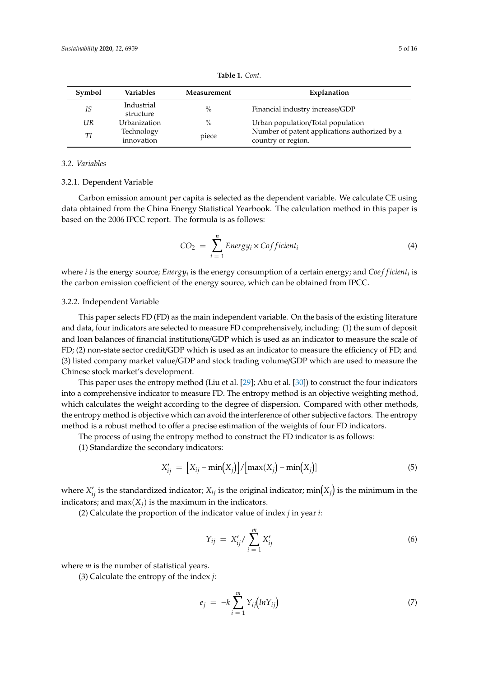<span id="page-4-0"></span>

| Symbol | Variables               | Measurement | Explanation                                   |
|--------|-------------------------|-------------|-----------------------------------------------|
| IS     | Industrial<br>structure | $\%$        | Financial industry increase/GDP               |
| UR     | Urbanization            | $\%$        | Urban population/Total population             |
| Τl     | Technology              |             | Number of patent applications authorized by a |
|        | innovation              | piece       | country or region                             |

country or region.

**Table 1.** *Cont.*

## *3.2. Variables*

#### 3.2.1. Dependent Variable

Carbon emission amount per capita is selected as the dependent variable. We calculate CE using data obtained from the China Energy Statistical Yearbook. The calculation method in this paper is based on the 2006 IPCC report. The formula is as follows:

$$
CO_2 = \sum_{i=1}^{n} Energy_i \times Cofficient_i
$$
 (4)

where *i* is the energy source; *Energy<sub>i</sub>* is the energy consumption of a certain energy; and *Coef ficient<sub>i</sub>* is the carbon emission coefficient of the energy source, which can be obtained from IPCC.

# 3.2.2. Independent Variable

This paper selects FD (FD) as the main independent variable. On the basis of the existing literature and data, four indicators are selected to measure FD comprehensively, including: (1) the sum of deposit and loan balances of financial institutions/GDP which is used as an indicator to measure the scale of FD; (2) non-state sector credit/GDP which is used as an indicator to measure the efficiency of FD; and (3) listed company market value/GDP and stock trading volume/GDP which are used to measure the Chinese stock market's development.

This paper uses the entropy method (Liu et al. [\[29\]](#page-15-12); Abu et al. [\[30\]](#page-15-13)) to construct the four indicators into a comprehensive indicator to measure FD. The entropy method is an objective weighting method, which calculates the weight according to the degree of dispersion. Compared with other methods, the entropy method is objective which can avoid the interference of other subjective factors. The entropy method is a robust method to offer a precise estimation of the weights of four FD indicators.

The process of using the entropy method to construct the FD indicator is as follows:

(1) Standardize the secondary indicators:

$$
X'_{ij} = [X_{ij} - \min(X_j)] / [\max(X_j) - \min(X_j)] \tag{5}
$$

where  $X'_{ij}$  is the standardized indicator;  $X_{ij}$  is the original indicator;  $\min(X_j)$  is the minimum in the indicators; and  $max(X_i)$  is the maximum in the indicators.

(2) Calculate the proportion of the indicator value of index *j* in year *i*:

$$
Y_{ij} = X'_{ij} / \sum_{i=1}^{m} X'_{ij}
$$
 (6)

where *m* is the number of statistical years.

(3) Calculate the entropy of the index *j*:

$$
e_j = -k \sum_{i=1}^{m} Y_{ij} (ln Y_{ij}) \tag{7}
$$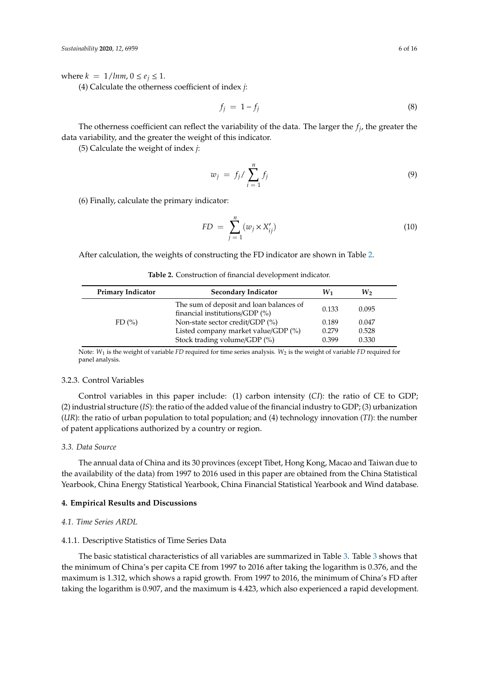where  $k = 1/lmm, 0 \le e_j \le 1$ .

(4) Calculate the otherness coefficient of index *j*:

$$
f_j = 1 - f_j \tag{8}
$$

The otherness coefficient can reflect the variability of the data. The larger the  $f_j$ , the greater the data variability, and the greater the weight of this indicator.

(5) Calculate the weight of index *j*:

$$
w_j = f_j / \sum_{i=1}^n f_j \tag{9}
$$

(6) Finally, calculate the primary indicator:

$$
FD = \sum_{j=1}^{n} (w_j \times X'_{ij})
$$
\n(10)

<span id="page-5-1"></span>After calculation, the weights of constructing the FD indicator are shown in Table [2.](#page-5-1)

| <b>Primary Indicator</b> | <b>Secondary Indicator</b>                                                | W1    | $W_2$ |
|--------------------------|---------------------------------------------------------------------------|-------|-------|
|                          | The sum of deposit and loan balances of<br>financial institutions/GDP (%) | 0.133 | 0.095 |
| FD(%)                    | Non-state sector credit/GDP (%)                                           | 0.189 | 0.047 |
|                          | Listed company market value/GDP (%)                                       | 0.279 | 0.528 |
|                          | Stock trading volume/GDP (%)                                              | 0.399 | 0.330 |

**Table 2.** Construction of financial development indicator.

Note: *W*<sup>1</sup> is the weight of variable *FD* required for time series analysis. *W*<sup>2</sup> is the weight of variable *FD* required for panel analysis.

#### 3.2.3. Control Variables

Control variables in this paper include: (1) carbon intensity (*CI*): the ratio of CE to GDP; (2) industrial structure (*IS*): the ratio of the added value of the financial industry to GDP; (3) urbanization (*UR*): the ratio of urban population to total population; and (4) technology innovation (*TI*): the number of patent applications authorized by a country or region.

#### *3.3. Data Source*

The annual data of China and its 30 provinces (except Tibet, Hong Kong, Macao and Taiwan due to the availability of the data) from 1997 to 2016 used in this paper are obtained from the China Statistical Yearbook, China Energy Statistical Yearbook, China Financial Statistical Yearbook and Wind database.

# <span id="page-5-0"></span>**4. Empirical Results and Discussions**

#### <span id="page-5-2"></span>*4.1. Time Series ARDL*

## 4.1.1. Descriptive Statistics of Time Series Data

The basic statistical characteristics of all variables are summarized in Table [3.](#page-6-0) Table [3](#page-6-0) shows that the minimum of China's per capita CE from 1997 to 2016 after taking the logarithm is 0.376, and the maximum is 1.312, which shows a rapid growth. From 1997 to 2016, the minimum of China's FD after taking the logarithm is 0.907, and the maximum is 4.423, which also experienced a rapid development.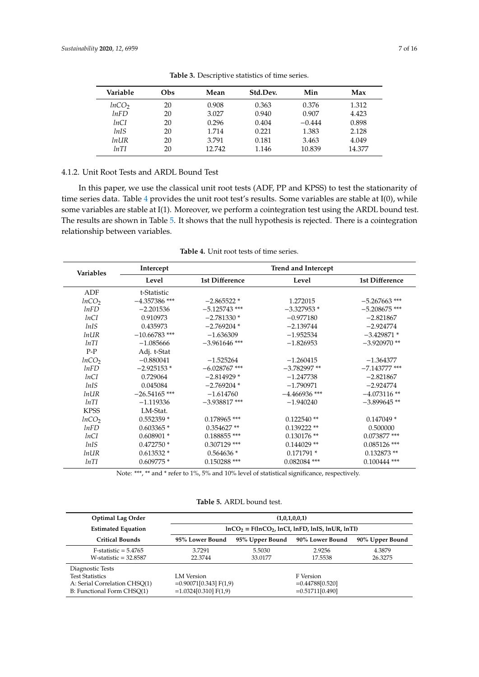<span id="page-6-0"></span>

| Variable          | Obs | Mean   | Std.Dev. | Min      | Max    |
|-------------------|-----|--------|----------|----------|--------|
| lnCO <sub>2</sub> | 20  | 0.908  | 0.363    | 0.376    | 1.312  |
| lnFD              | 20  | 3.027  | 0.940    | 0.907    | 4.423  |
| lnCI              | 20  | 0.296  | 0.404    | $-0.444$ | 0.898  |
| <i>lnIS</i>       | 20  | 1.714  | 0.221    | 1.383    | 2.128  |
| $ln \,$ IR        | 20  | 3.791  | 0.181    | 3.463    | 4.049  |
| lnTI              | 20  | 12.742 | 1.146    | 10.839   | 14.377 |

**Table 3.** Descriptive statistics of time series.

# 4.1.2. Unit Root Tests and ARDL Bound Test

In this paper, we use the classical unit root tests (ADF, PP and KPSS) to test the stationarity of time series data. Table [4](#page-6-1) provides the unit root test's results. Some variables are stable at I(0), while some variables are stable at I(1). Moreover, we perform a cointegration test using the ARDL bound test. The results are shown in Table [5.](#page-7-0) It shows that the null hypothesis is rejected. There is a cointegration relationship between variables.

<span id="page-6-1"></span>

| Intercept       | <b>Trend and Intercept</b> |                 |                       |  |  |
|-----------------|----------------------------|-----------------|-----------------------|--|--|
| Level           | <b>1st Difference</b>      | Level           | <b>1st Difference</b> |  |  |
| t-Statistic     |                            |                 |                       |  |  |
| $-4.357386$ *** | $-2.865522*$               | 1.272015        | $-5.267663$ ***       |  |  |
| $-2.201536$     | $-5.125743$ ***            | $-3.327953*$    | $-5.208675$ ***       |  |  |
| 0.910973        | $-2.781330*$               | $-0.977180$     | $-2.821867$           |  |  |
| 0.435973        | $-2.769204*$               | $-2.139744$     | $-2.924774$           |  |  |
| $-10.66783$ *** | $-1.636309$                | $-1.952534$     | $-3.429871*$          |  |  |
| $-1.085666$     | $-3.961646$ ***            | $-1.826953$     | $-3.920970$ **        |  |  |
|                 |                            |                 |                       |  |  |
| $-0.880041$     | $-1.525264$                | $-1.260415$     | $-1.364377$           |  |  |
| $-2.925153*$    | $-6.028767$ ***            | $-3.782997$ **  | $-7.143777$ ***       |  |  |
| 0.729064        | $-2.814929*$               | $-1.247738$     | $-2.821867$           |  |  |
| 0.045084        | $-2.769204*$               | $-1.790971$     | $-2.924774$           |  |  |
| $-26.54165$ *** | $-1.614760$                | $-4.466936$ *** | $-4.073116$ **        |  |  |
| $-1.119336$     | $-3.938817$ ***            | $-1.940240$     | $-3.899645$ **        |  |  |
| LM-Stat.        |                            |                 |                       |  |  |
| $0.552359*$     | $0.178965$ ***             | $0.122540$ **   | $0.147049*$           |  |  |
| $0.603365*$     | $0.354627**$               | $0.139222**$    | 0.500000              |  |  |
| $0.608901*$     | $0.188855$ ***             | $0.130176$ **   | $0.073877$ ***        |  |  |
| $0.472750*$     | $0.307129$ ***             | $0.144029$ **   | $0.085126$ ***        |  |  |
| $0.613532*$     | $0.564636*$                | $0.171791*$     | $0.132873**$          |  |  |
| $0.609775*$     | $0.150288$ ***             | $0.082084$ ***  | $0.100444$ ***        |  |  |
|                 | Adj. t-Stat                |                 |                       |  |  |

**Table 4.** Unit root tests of time series.

Note: \*\*\*, \*\* and \* refer to 1%, 5% and 10% level of statistical significance, respectively.

**Table 5.** ARDL bound test.

| <b>Optimal Lag Order</b>      | (1,0,1,0,0,1)                                      |                 |                    |                 |  |
|-------------------------------|----------------------------------------------------|-----------------|--------------------|-----------------|--|
| <b>Estimated Equation</b>     | $lnCO_2 = F(lnCO_2, lnCI, lnFD, lnIS, lnUR, lnTI)$ |                 |                    |                 |  |
| <b>Critical Bounds</b>        | 95% Lower Bound                                    | 95% Upper Bound | 90% Lower Bound    | 90% Upper Bound |  |
| $F-statistic = 5.4765$        | 3.7291                                             | 5.5030          | 2.9256             | 4.3879          |  |
| W-statistic $=$ 32.8587       | 22.3744                                            | 33.0177         | 17.5538            | 26.3275         |  |
| Diagnostic Tests              |                                                    |                 |                    |                 |  |
| <b>Test Statistics</b>        | LM Version                                         |                 | F Version          |                 |  |
| A: Serial Correlation CHSO(1) | $=0.90071[0.343]$ F(1,9)                           |                 | $= 0.44788[0.520]$ |                 |  |
| B: Functional Form CHSO(1)    | $=1.0324[0.310]$ F(1.9)                            |                 | $= 0.51711[0.490]$ |                 |  |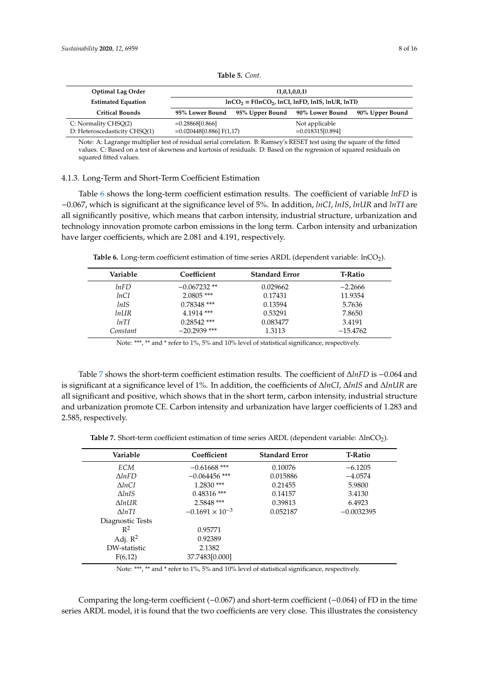<span id="page-7-0"></span>

| <b>Optimal Lag Order</b>                              | (1,0,1,0,0,1)                                      |                 |                                      |                 |
|-------------------------------------------------------|----------------------------------------------------|-----------------|--------------------------------------|-----------------|
| <b>Estimated Equation</b>                             | $lnCO_2 = F(lnCO_2, lnCI, lnFD, lnIS, lnUR, lnTI)$ |                 |                                      |                 |
| <b>Critical Bounds</b>                                | 95% Lower Bound                                    | 95% Upper Bound | 90% Lower Bound                      | 90% Upper Bound |
| C: Normality CHSQ(2)<br>D: Heteroscedasticity CHSQ(1) | $= 0.28868[0.866]$<br>$=0.020448[0.886]$ F(1,17)   |                 | Not applicable<br>$=0.018315[0.894]$ |                 |

**Table 5.** *Cont.*

Note: A: Lagrange multiplier test of residual serial correlation. B: Ramsey's RESET test using the square of the fitted values. C: Based on a test of skewness and kurtosis of residuals. D: Based on the regression of squared residuals on squared fitted values.

#### 4.1.3. Long-Term and Short-Term Coefficient Estimation

Table [6](#page-7-1) shows the long-term coefficient estimation results. The coefficient of variable *lnFD* is −0.067, which is significant at the significance level of 5%. In addition, *lnCI*, *lnIS*, *lnUR* and *lnTI* are all significantly positive, which means that carbon intensity, industrial structure, urbanization and technology innovation promote carbon emissions in the long term. Carbon intensity and urbanization have larger coefficients, which are 2.081 and 4.191, respectively.

<span id="page-7-1"></span>**Table 6.** Long-term coefficient estimation of time series ARDL (dependent variable:  $ln CO<sub>2</sub>$ ).

| Variable   | Coefficient    | <b>Standard Error</b> | <b>T-Ratio</b> |
|------------|----------------|-----------------------|----------------|
| lnFD       | $-0.067232**$  | 0.029662              | $-2.2666$      |
| lnCI       | $2.0805$ ***   | 0.17431               | 11.9354        |
| lnIS       | $0.78348$ ***  | 0.13594               | 5.7636         |
| $ln \,$ IR | $4.1914$ ***   | 0.53291               | 7.8650         |
| lnTI       | $0.28542$ ***  | 0.083477              | 3.4191         |
| Constant   | $-20.2939$ *** | 1.3113                | $-15.4762$     |

Note: \*\*\*, \*\* and \* refer to 1%, 5% and 10% level of statistical significance, respectively.

Table [7](#page-7-2) shows the short-term coefficient estimation results. The coefficient of ∆*lnFD* is −0.064 and is significant at a significance level of 1%. In addition, the coefficients of ∆*lnCI*, ∆*lnIS* and ∆*lnUR* are all significant and positive, which shows that in the short term, carbon intensity, industrial structure and urbanization promote CE. Carbon intensity and urbanization have larger coefficients of 1.283 and 2.585, respectively.

Table 7. Short-term coefficient estimation of time series ARDL (dependent variable: ΔlnCO<sub>2</sub>).

<span id="page-7-2"></span>

| Variable         | Coefficient              | <b>Standard Error</b> | <b>T-Ratio</b> |
|------------------|--------------------------|-----------------------|----------------|
| ECM              | $-0.61668$ ***           | 0.10076               | $-6.1205$      |
| $\Lambda lnFD$   | $-0.064456$ ***          | 0.015886              | $-4.0574$      |
| $\Delta lnCI$    | $1.2830$ ***             | 0.21455               | 5.9800         |
| $\Lambda lnIS$   | $0.48316$ ***            | 0.14157               | 3.4130         |
| $\Lambda$ lnUR   | 2.5848 ***               | 0.39813               | 6.4923         |
| $\Lambda ln TI$  | $-0.1691 \times 10^{-3}$ | 0.052187              | $-0.0032395$   |
| Diagnostic Tests |                          |                       |                |
| $R^2$            | 0.95771                  |                       |                |
| Adj. $R^2$       | 0.92389                  |                       |                |
| DW-statistic     | 2.1382                   |                       |                |
| F(6,12)          | 37.7483[0.000]           |                       |                |

Note: \*\*\*, \*\* and \* refer to 1%, 5% and 10% level of statistical significance, respectively.

Comparing the long-term coefficient (−0.067) and short-term coefficient (−0.064) of FD in the time series ARDL model, it is found that the two coefficients are very close. This illustrates the consistency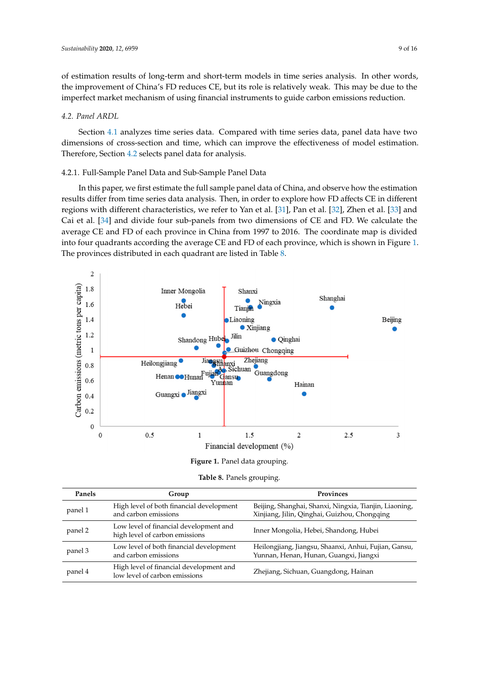of estimation results of long-term and short-term models in time series analysis. In other words, the improvement of China's FD reduces CE, but its role is relatively weak. This may be due to the imperfect market mechanism of using financial instruments to guide carbon emissions reduction.

## <span id="page-8-0"></span>*4.2. Panel ARDL*

Section [4.1](#page-5-2) analyzes time series data. Compared with time series data, panel data have two dimensions of cross-section and time, which can improve the effectiveness of model estimation. Therefore, Section [4.2](#page-8-0) selects panel data for analysis.

# 4.2.1. Full-Sample Panel Data and Sub-Sample Panel Data

In this paper, we first estimate the full sample panel data of China, and observe how the estimation results differ from time series data analysis. Then, in order to explore how FD affects CE in different regions with different characteristics, we refer to Yan et al. [\[31\]](#page-15-14), Pan et al. [\[32\]](#page-15-15), Zhen et al. [\[33\]](#page-15-16) and Cai et al. [\[34\]](#page-15-17) and divide four sub-panels from two dimensions of CE and FD. We calculate the average CE and FD of each province in China from 1997 to 2016. The coordinate map is divided into four quadrants according the average CE and FD of each province, which is shown in Figure [1.](#page-8-1) The provinces distributed in each quadrant are listed in Table [8.](#page-8-2)

<span id="page-8-1"></span>

| Figure 1. Panel data grouping. |  |
|--------------------------------|--|
|--------------------------------|--|

|  | Table 8. Panels grouping. |
|--|---------------------------|
|  |                           |

<span id="page-8-2"></span>

| Panels  | Group                                                                    | <b>Provinces</b>                                                                                       |
|---------|--------------------------------------------------------------------------|--------------------------------------------------------------------------------------------------------|
| panel 1 | High level of both financial development<br>and carbon emissions         | Beijing, Shanghai, Shanxi, Ningxia, Tianjin, Liaoning,<br>Xinjiang, Jilin, Qinghai, Guizhou, Chongqing |
| panel 2 | Low level of financial development and<br>high level of carbon emissions | Inner Mongolia, Hebei, Shandong, Hubei                                                                 |
| panel 3 | Low level of both financial development<br>and carbon emissions          | Heilongjiang, Jiangsu, Shaanxi, Anhui, Fujian, Gansu,<br>Yunnan, Henan, Hunan, Guangxi, Jiangxi        |
| panel 4 | High level of financial development and<br>low level of carbon emissions | Zhejiang, Sichuan, Guangdong, Hainan                                                                   |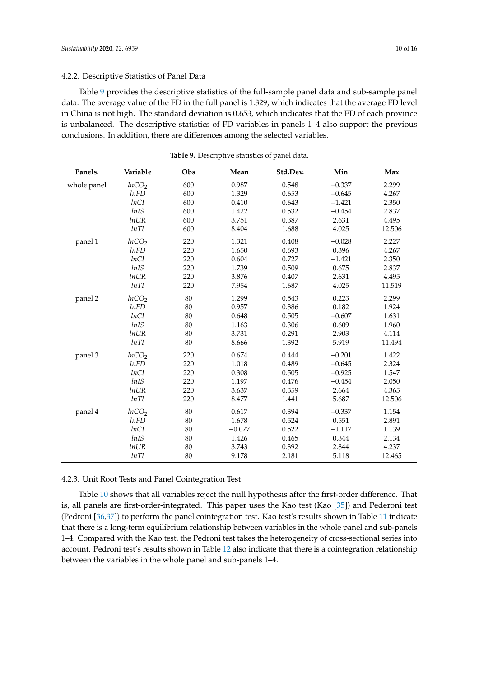# 4.2.2. Descriptive Statistics of Panel Data

Table [9](#page-9-0) provides the descriptive statistics of the full-sample panel data and sub-sample panel data. The average value of the FD in the full panel is 1.329, which indicates that the average FD level in China is not high. The standard deviation is 0.653, which indicates that the FD of each province is unbalanced. The descriptive statistics of FD variables in panels 1–4 also support the previous conclusions. In addition, there are differences among the selected variables.

<span id="page-9-0"></span>

| Panels.     | Variable          | Obs | Mean     | Std.Dev. | Min      | Max    |
|-------------|-------------------|-----|----------|----------|----------|--------|
| whole panel | lnCO <sub>2</sub> | 600 | 0.987    | 0.548    | $-0.337$ | 2.299  |
|             | lnFD              | 600 | 1.329    | 0.653    | $-0.645$ | 4.267  |
|             | lnCI              | 600 | 0.410    | 0.643    | $-1.421$ | 2.350  |
|             | lnIS              | 600 | 1.422    | 0.532    | $-0.454$ | 2.837  |
|             | <i>lnUR</i>       | 600 | 3.751    | 0.387    | 2.631    | 4.495  |
|             | lnTI              | 600 | 8.404    | 1.688    | 4.025    | 12.506 |
| panel 1     | lnCO <sub>2</sub> | 220 | 1.321    | 0.408    | $-0.028$ | 2.227  |
|             | lnFD              | 220 | 1.650    | 0.693    | 0.396    | 4.267  |
|             | lnCI              | 220 | 0.604    | 0.727    | $-1.421$ | 2.350  |
|             | lnIS              | 220 | 1.739    | 0.509    | 0.675    | 2.837  |
|             | <i>lnUR</i>       | 220 | 3.876    | 0.407    | 2.631    | 4.495  |
|             | lnTI              | 220 | 7.954    | 1.687    | 4.025    | 11.519 |
| panel 2     | lnCO <sub>2</sub> | 80  | 1.299    | 0.543    | 0.223    | 2.299  |
|             | lnFD              | 80  | 0.957    | 0.386    | 0.182    | 1.924  |
|             | lnCI              | 80  | 0.648    | 0.505    | $-0.607$ | 1.631  |
|             | lnIS              | 80  | 1.163    | 0.306    | 0.609    | 1.960  |
|             | <i>lnUR</i>       | 80  | 3.731    | 0.291    | 2.903    | 4.114  |
|             | lnTI              | 80  | 8.666    | 1.392    | 5.919    | 11.494 |
| panel 3     | lnCO <sub>2</sub> | 220 | 0.674    | 0.444    | $-0.201$ | 1.422  |
|             | lnFD              | 220 | 1.018    | 0.489    | $-0.645$ | 2.324  |
|             | lnCI              | 220 | 0.308    | 0.505    | $-0.925$ | 1.547  |
|             | lnIS              | 220 | 1.197    | 0.476    | $-0.454$ | 2.050  |
|             | <i>lnUR</i>       | 220 | 3.637    | 0.359    | 2.664    | 4.365  |
|             | lnTI              | 220 | 8.477    | 1.441    | 5.687    | 12.506 |
| panel 4     | lnCO <sub>2</sub> | 80  | 0.617    | 0.394    | $-0.337$ | 1.154  |
|             | lnFD              | 80  | 1.678    | 0.524    | 0.551    | 2.891  |
|             | lnCI              | 80  | $-0.077$ | 0.522    | $-1.117$ | 1.139  |
|             | <i>lnIS</i>       | 80  | 1.426    | 0.465    | 0.344    | 2.134  |
|             | <i>lnUR</i>       | 80  | 3.743    | 0.392    | 2.844    | 4.237  |
|             | lnTI              | 80  | 9.178    | 2.181    | 5.118    | 12.465 |

**Table 9.** Descriptive statistics of panel data.

4.2.3. Unit Root Tests and Panel Cointegration Test

Table [10](#page-11-0) shows that all variables reject the null hypothesis after the first-order difference. That is, all panels are first-order-integrated. This paper uses the Kao test (Kao [\[35\]](#page-15-18)) and Pederoni test (Pedroni [\[36](#page-15-19)[,37\]](#page-15-20)) to perform the panel cointegration test. Kao test's results shown in Table [11](#page-11-1) indicate that there is a long-term equilibrium relationship between variables in the whole panel and sub-panels 1–4. Compared with the Kao test, the Pedroni test takes the heterogeneity of cross-sectional series into account. Pedroni test's results shown in Table [12](#page-11-2) also indicate that there is a cointegration relationship between the variables in the whole panel and sub-panels 1–4.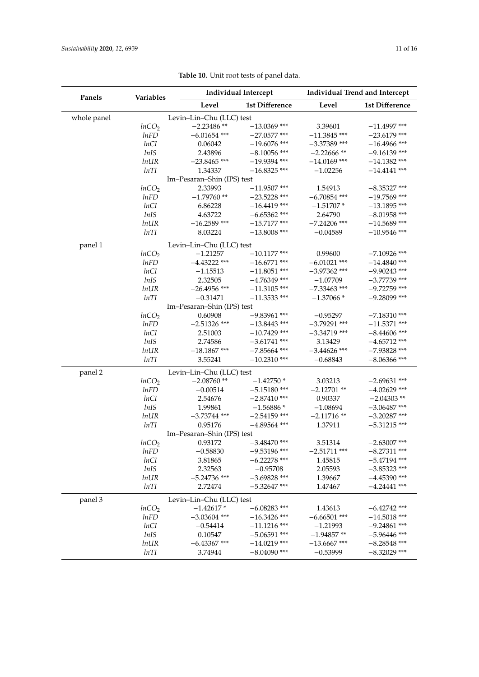|             |                   | <b>Individual Intercept</b> |                | <b>Individual Trend and Intercept</b> |                |  |
|-------------|-------------------|-----------------------------|----------------|---------------------------------------|----------------|--|
| Panels      | <b>Variables</b>  | Level                       | 1st Difference | Level                                 | 1st Difference |  |
| whole panel |                   | Levin-Lin-Chu (LLC) test    |                |                                       |                |  |
|             | lnCO <sub>2</sub> | $-2.23486**$                | $-13.0369$ *** | 3.39601                               | $-11.4997$ *** |  |
|             | lnFD              | $-6.01654$ ***              | $-27.0577$ *** | $-11.3845$ ***                        | $-23.6179$ *** |  |
|             | lnCI              | 0.06042                     | $-19.6076$ *** | $-3.37389$ ***                        | $-16.4966$ *** |  |
|             | lnIS              | 2.43896                     | $-8.10056$ *** | $-2.22666$ **                         | $-9.16139$ *** |  |
|             | <i>lnUR</i>       | $-23.8465$ ***              | $-19.9394$ *** | $-14.0169$ ***                        | $-14.1382$ *** |  |
|             | lnTI              | 1.34337                     | $-16.8325$ *** | $-1.02256$                            | $-14.4141$ *** |  |
|             |                   | Im-Pesaran-Shin (IPS) test  |                |                                       |                |  |
|             | lnCO <sub>2</sub> | 2.33993                     | $-11.9507$ *** | 1.54913                               | $-8.35327$ *** |  |
|             | lnFD              | $-1.79760**$                | $-23.5228$ *** | $-6.70854$ ***                        | $-19.7569$ *** |  |
|             | lnCI              | 6.86228                     | $-16.4419$ *** | $-1.51707*$                           | $-13.1895$ *** |  |
|             | lnIS              | 4.63722                     | $-6.65362$ *** | 2.64790                               | $-8.01958$ *** |  |
|             | <i>lnUR</i>       | $-16.2589$ ***              | $-15.7177$ *** | $-7.24206$ ***                        | $-14.5689$ *** |  |
|             | lnTI              | 8.03224                     | $-13.8008$ *** | $-0.04589$                            | $-10.9546$ *** |  |
| panel 1     |                   | Levin-Lin-Chu (LLC) test    |                |                                       |                |  |
|             | lnCO <sub>2</sub> | $-1.21257$                  | $-10.1177$ *** | 0.99600                               | $-7.10926$ *** |  |
|             | lnFD              | $-4.43222$ ***              | $-16.6771$ *** | $-6.01021$ ***                        | $-14.4840$ *** |  |
|             | lnCI              | $-1.15513$                  | $-11.8051$ *** | $-3.97362$ ***                        | $-9.90243$ *** |  |
|             | lnIS              | 2.32505                     | $-4.76349$ *** | $-1.07709$                            | $-3.77739$ *** |  |
|             | <i>lnUR</i>       | $-26.4956$ ***              | $-11.3105$ *** | $-7.33463$ ***                        | $-9.72759$ *** |  |
|             | lnTI              | $-0.31471$                  | $-11.3533$ *** | $-1.37066*$                           | $-9.28099$ *** |  |
|             |                   | Im-Pesaran-Shin (IPS) test  |                |                                       |                |  |
|             | lnCO <sub>2</sub> | 0.60908                     | $-9.83961$ *** | $-0.95297$                            | $-7.18310$ *** |  |
|             | lnFD              | $-2.51326$ ***              | $-13.8443$ *** | $-3.79291$ ***                        | $-11.5371$ *** |  |
|             | lnCI              | 2.51003                     | $-10.7429$ *** | $-3.34719$ ***                        | $-8.44606$ *** |  |
|             | lnIS              | 2.74586                     | $-3.61741$ *** | 3.13429                               | $-4.65712$ *** |  |
|             | <i>lnUR</i>       | $-18.1867$ ***              | $-7.85664$ *** | $-3.44626$ ***                        | $-7.93828$ *** |  |
|             | lnTI              | 3.55241                     | $-10.2310$ *** | $-0.68843$                            | $-8.06366$ *** |  |
| panel 2     |                   | Levin-Lin-Chu (LLC) test    |                |                                       |                |  |
|             | lnCO <sub>2</sub> | $-2.08760**$                | $-1.42750*$    | 3.03213                               | $-2.69631$ *** |  |
|             | lnFD              | $-0.00514$                  | $-5.15180$ *** | $-2.12701$ **                         | $-4.02629$ *** |  |
|             | lnCI              | 2.54676                     | $-2.87410$ *** | 0.90337                               | $-2.04303$ **  |  |
|             | lnIS              | 1.99861                     | $-1.56886*$    | $-1.08694$                            | $-3.06487$ *** |  |
|             | <i>lnUR</i>       | $-3.73744$ ***              | $-2.54159$ *** | $-2.11716**$                          | $-3.20287$ *** |  |
|             | lnTI              | 0.95176                     | $-4.89564$ *** | 1.37911                               | $-5.31215$ *** |  |
|             |                   | Im-Pesaran-Shin (IPS) test  |                |                                       |                |  |
|             | lnCO <sub>2</sub> | 0.93172                     | $-3.48470$ *** | 3.51314                               | $-2.63007$ *** |  |
|             | lnFD              | $-0.58830$                  | $-9.53196$ *** | $-2.51711$ ***                        | $-8.27311$ *** |  |
|             | lnCI              | 3.81865                     | $-6.22278$ *** | 1.45815                               | $-5.47194$ *** |  |
|             | lnIS              | 2.32563                     | $-0.95708$     | 2.05593                               | $-3.85323$ *** |  |
|             | $ln$ <i>UR</i>    | $-5.24736$ ***              | $-3.69828$ *** | 1.39667                               | $-4.45390$ *** |  |
|             | lnTI              | 2.72474                     | $-5.32647$ *** | 1.47467                               | $-4.24441$ *** |  |
| panel 3     |                   | Levin-Lin-Chu (LLC) test    |                |                                       |                |  |
|             | lnCO <sub>2</sub> | $-1.42617*$                 | $-6.08283$ *** | 1.43613                               | $-6.42742$ *** |  |
|             | lnFD              | $-3.03604$ ***              | $-16.3426$ *** | $-6.66501$ ***                        | $-14.5018$ *** |  |
|             | lnCI              | $-0.54414$                  | $-11.1216$ *** | $-1.21993$                            | $-9.24861$ *** |  |
|             | lnIS              | 0.10547                     | $-5.06591$ *** | $-1.94857**$                          | $-5.96446$ *** |  |
|             | $ln \,$ IR        | $-6.43367$ ***              | $-14.0219$ *** | $-13.6667$ ***                        | $-8.28548$ *** |  |
|             | lnTI              | 3.74944                     | $-8.04090$ *** | $-0.53999$                            | $-8.32029$ *** |  |

**Table 10.** Unit root tests of panel data.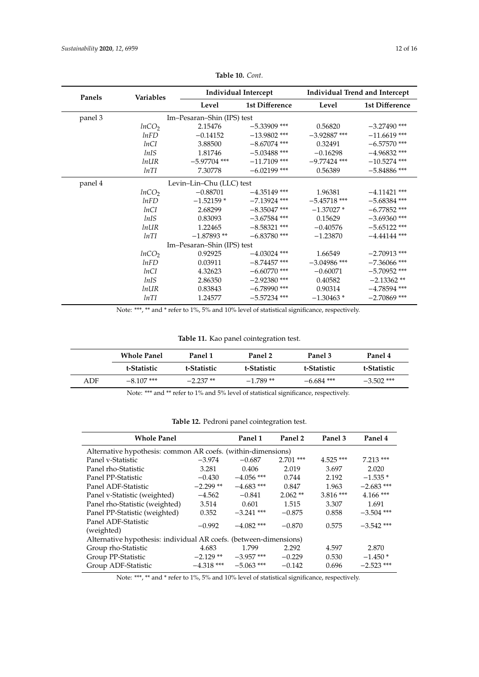<span id="page-11-0"></span>

| Panels  | <b>Variables</b>  | Individual Intercept       |                | <b>Individual Trend and Intercept</b> |                |
|---------|-------------------|----------------------------|----------------|---------------------------------------|----------------|
|         |                   | Level                      | 1st Difference | Level                                 | 1st Difference |
| panel 3 |                   | Im-Pesaran-Shin (IPS) test |                |                                       |                |
|         | lnCO <sub>2</sub> | 2.15476                    | $-5.33909$ *** | 0.56820                               | $-3.27490$ *** |
|         | lnFD              | $-0.14152$                 | $-13.9802$ *** | $-3.92887$ ***                        | $-11.6619$ *** |
|         | lnCI              | 3.88500                    | $-8.67074$ *** | 0.32491                               | $-6.57570$ *** |
|         | lnIS              | 1.81746                    | $-5.03488$ *** | $-0.16298$                            | $-4.96832$ *** |
|         | $ln$ <i>UR</i>    | $-5.97704$ ***             | $-11.7109$ *** | $-9.77424$ ***                        | $-10.5274$ *** |
|         | lnTI              | 7.30778                    | $-6.02199$ *** | 0.56389                               | $-5.84886$ *** |
| panel 4 |                   | Levin-Lin-Chu (LLC) test   |                |                                       |                |
|         | lnCO <sub>2</sub> | $-0.88701$                 | $-4.35149$ *** | 1.96381                               | $-4.11421$ *** |
|         | lnFD              | $-1.52159*$                | $-7.13924$ *** | $-5.45718$ ***                        | $-5.68384$ *** |
|         | lnCI              | 2.68299                    | $-8.35047$ *** | $-1.37027*$                           | $-6.77852$ *** |
|         | lnIS              | 0.83093                    | $-3.67584$ *** | 0.15629                               | $-3.69360$ *** |
|         | <i>lnUR</i>       | 1.22465                    | $-8.58321$ *** | $-0.40576$                            | $-5.65122$ *** |
|         | lnTI              | $-1.87893**$               | $-6.83780$ *** | $-1.23870$                            | $-4.44144$ *** |
|         |                   | Im-Pesaran-Shin (IPS) test |                |                                       |                |
|         | lnCO <sub>2</sub> | 0.92925                    | $-4.03024$ *** | 1.66549                               | $-2.70913$ *** |
|         | lnFD              | 0.03911                    | $-8.74457$ *** | $-3.04986$ ***                        | $-7.36066$ *** |
|         | lnCI              | 4.32623                    | $-6.60770$ *** | $-0.60071$                            | $-5.70952$ *** |
|         | lnIS              | 2.86350                    | $-2.92380$ *** | 0.40582                               | $-2.13362**$   |
|         | $ln$ <i>UR</i>    | 0.83843                    | $-6.78990$ *** | 0.90314                               | $-4.78594$ *** |
|         | lnTI              | 1.24577                    | $-5.57234$ *** | $-1.30463*$                           | $-2.70869$ *** |

# **Table 10.** *Cont.*

Note: \*\*\*, \*\* and \* refer to 1%, 5% and 10% level of statistical significance, respectively.

**Table 11.** Kao panel cointegration test.

<span id="page-11-1"></span>

|     | <b>Whole Panel</b> | Panel 1     | Panel 2     | Panel 3      | Panel 4      |
|-----|--------------------|-------------|-------------|--------------|--------------|
|     | t-Statistic        | t-Statistic | t-Statistic | t-Statistic  | t-Statistic  |
| ADF | $-8.107$ ***       | $-2.237**$  | $-1.789**$  | $-6.684$ *** | $-3.502$ *** |

Note: \*\*\* and \*\* refer to 1% and 5% level of statistical significance, respectively.

|  | Table 12. Pedroni panel cointegration test. |  |
|--|---------------------------------------------|--|
|  |                                             |  |

<span id="page-11-2"></span>

| <b>Whole Panel</b>                                                |              | Panel 1      | Panel 2     | Panel 3     | Panel 4      |  |  |
|-------------------------------------------------------------------|--------------|--------------|-------------|-------------|--------------|--|--|
| Alternative hypothesis: common AR coefs. (within-dimensions)      |              |              |             |             |              |  |  |
| Panel v-Statistic                                                 | $-3.974$     | $-0.687$     | $2.701$ *** | $4.525$ *** | $7.213***$   |  |  |
| Panel rho-Statistic                                               | 3.281        | 0.406        | 2.019       | 3.697       | 2.020        |  |  |
| Panel PP-Statistic                                                | $-0.430$     | $-4.056$ *** | 0.744       | 2.192       | $-1.535*$    |  |  |
| Panel ADF-Statistic                                               | $-2.299**$   | $-4.683$ *** | 0.847       | 1.963       | $-2.683$ *** |  |  |
| Panel v-Statistic (weighted)                                      | $-4.562$     | $-0.841$     | $2.062**$   | $3.816***$  | $4.166$ ***  |  |  |
| Panel rho-Statistic (weighted)                                    | 3.514        | 0.601        | 1.515       | 3.307       | 1.691        |  |  |
| Panel PP-Statistic (weighted)                                     | 0.352        | $-3.241$ *** | $-0.875$    | 0.858       | $-3.504$ *** |  |  |
| Panel ADF-Statistic<br>(weighted)                                 | $-0.992$     | $-4.082$ *** | $-0.870$    | 0.575       | $-3.542$ *** |  |  |
| Alternative hypothesis: individual AR coefs. (between-dimensions) |              |              |             |             |              |  |  |
| Group rho-Statistic                                               | 4.683        | 1.799        | 2.292       | 4.597       | 2.870        |  |  |
| Group PP-Statistic                                                | $-2.129$ **  | $-3.957$ *** | $-0.229$    | 0.530       | $-1.450*$    |  |  |
| Group ADF-Statistic                                               | $-4.318$ *** | $-5.063$ *** | $-0.142$    | 0.696       | $-2.523$ *** |  |  |

Note: \*\*\*, \*\* and \* refer to 1%, 5% and 10% level of statistical significance, respectively.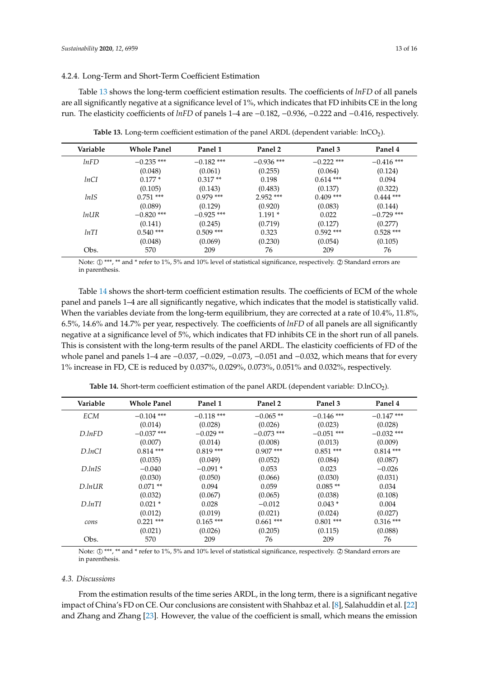## 4.2.4. Long-Term and Short-Term Coefficient Estimation

Table [13](#page-12-0) shows the long-term coefficient estimation results. The coefficients of *lnFD* of all panels are all significantly negative at a significance level of 1%, which indicates that FD inhibits CE in the long run. The elasticity coefficients of *lnFD* of panels 1–4 are −0.182, −0.936, −0.222 and −0.416, respectively.

<span id="page-12-0"></span>

| Variable | <b>Whole Panel</b> | Panel 1      | Panel 2      | Panel 3      | Panel 4      |
|----------|--------------------|--------------|--------------|--------------|--------------|
| lnFD     | $-0.235$ ***       | $-0.182$ *** | $-0.936$ *** | $-0.222$ *** | $-0.416$ *** |
|          | (0.048)            | (0.061)      | (0.255)      | (0.064)      | (0.124)      |
| lnCI     | $0.177*$           | $0.317**$    | 0.198        | $0.614$ ***  | 0.094        |
|          | (0.105)            | (0.143)      | (0.483)      | (0.137)      | (0.322)      |
| lnIS     | $0.751$ ***        | $0.979$ ***  | $2.952$ ***  | $0.409$ ***  | $0.444$ ***  |
|          | (0.089)            | (0.129)      | (0.920)      | (0.083)      | (0.144)      |
| $ln$ UR  | $-0.820$ ***       | $-0.925$ *** | $1.191*$     | 0.022        | $-0.729$ *** |
|          | (0.141)            | (0.245)      | (0.719)      | (0.127)      | (0.277)      |
| lnTI     | $0.540$ ***        | $0.509$ ***  | 0.323        | $0.592$ ***  | $0.528$ ***  |
|          | (0.048)            | (0.069)      | (0.230)      | (0.054)      | (0.105)      |
| Obs.     | 570                | 209          | 76           | 209          | 76           |

**Table 13.** Long-term coefficient estimation of the panel ARDL (dependent variable: lnCO<sub>2</sub>).

Note:  $\oplus$  \*\*\*, \*\* and \* refer to 1%, 5% and 10% level of statistical significance, respectively.  $\oslash$  Standard errors are in parenthesis.

Table [14](#page-12-1) shows the short-term coefficient estimation results. The coefficients of ECM of the whole panel and panels 1–4 are all significantly negative, which indicates that the model is statistically valid. When the variables deviate from the long-term equilibrium, they are corrected at a rate of 10.4%, 11.8%, 6.5%, 14.6% and 14.7% per year, respectively. The coefficients of *lnFD* of all panels are all significantly negative at a significance level of 5%, which indicates that FD inhibits CE in the short run of all panels. This is consistent with the long-term results of the panel ARDL. The elasticity coefficients of FD of the whole panel and panels 1–4 are −0.037, −0.029, −0.073, −0.051 and −0.032, which means that for every 1% increase in FD, CE is reduced by 0.037%, 0.029%, 0.073%, 0.051% and 0.032%, respectively.

<span id="page-12-1"></span>

| Variable           | <b>Whole Panel</b> | Panel 1      | Panel 2      | Panel 3      | Panel 4      |
|--------------------|--------------------|--------------|--------------|--------------|--------------|
| <b>ECM</b>         | $-0.104$ ***       | $-0.118$ *** | $-0.065**$   | $-0.146$ *** | $-0.147$ *** |
|                    | (0.014)            | (0.028)      | (0.026)      | (0.023)      | (0.028)      |
| $D_{.}InFD$        | $-0.037$ ***       | $-0.029**$   | $-0.073$ *** | $-0.051$ *** | $-0.032$ *** |
|                    | (0.007)            | (0.014)      | (0.008)      | (0.013)      | (0.009)      |
| D <sub>ln</sub> CI | $0.814***$         | $0.819***$   | $0.907$ ***  | $0.851***$   | $0.814***$   |
|                    | (0.035)            | (0.049)      | (0.052)      | (0.084)      | (0.087)      |
| D <sub>ln1S</sub>  | $-0.040$           | $-0.091*$    | 0.053        | 0.023        | $-0.026$     |
|                    | (0.030)            | (0.050)      | (0.066)      | (0.030)      | (0.031)      |
| D. In UR           | $0.071**$          | 0.094        | 0.059        | $0.085**$    | 0.034        |
|                    | (0.032)            | (0.067)      | (0.065)      | (0.038)      | (0.108)      |
| D.lnTI             | $0.021*$           | 0.028        | $-0.012$     | $0.043*$     | 0.004        |
|                    | (0.012)            | (0.019)      | (0.021)      | (0.024)      | (0.027)      |
| cons               | $0.221$ ***        | $0.165***$   | $0.661$ ***  | $0.801$ ***  | $0.316$ ***  |
|                    | (0.021)            | (0.026)      | (0.205)      | (0.115)      | (0.088)      |
| Obs.               | 570                | 209          | 76           | 209          | 76           |

**Table 14.** Short-term coefficient estimation of the panel ARDL (dependent variable: D.lnCO<sub>2</sub>).

Note:  $\mathbb{O}$  \*\*\*, \*\* and \* refer to 1%, 5% and 10% level of statistical significance, respectively.  $\oslash$  Standard errors are in parenthesis.

#### *4.3. Discussions*

From the estimation results of the time series ARDL, in the long term, there is a significant negative impact of China's FD on CE. Our conclusions are consistent with Shahbaz et al. [\[8\]](#page-14-7), Salahuddin et al. [\[22\]](#page-15-5) and Zhang and Zhang [\[23\]](#page-15-6). However, the value of the coefficient is small, which means the emission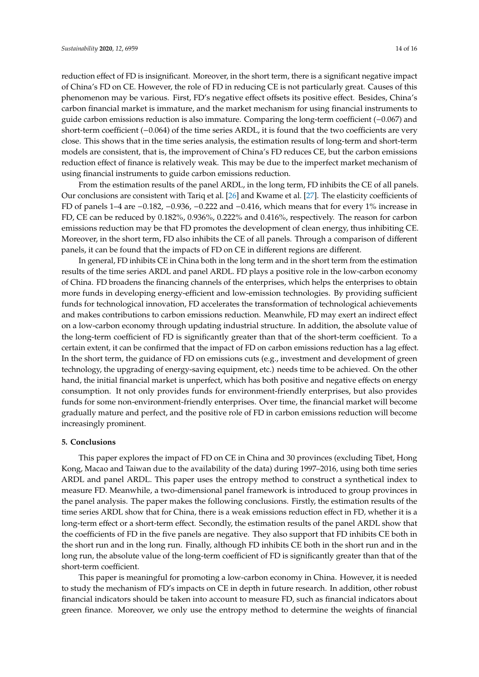reduction effect of FD is insignificant. Moreover, in the short term, there is a significant negative impact of China's FD on CE. However, the role of FD in reducing CE is not particularly great. Causes of this phenomenon may be various. First, FD's negative effect offsets its positive effect. Besides, China's carbon financial market is immature, and the market mechanism for using financial instruments to guide carbon emissions reduction is also immature. Comparing the long-term coefficient (−0.067) and short-term coefficient (−0.064) of the time series ARDL, it is found that the two coefficients are very close. This shows that in the time series analysis, the estimation results of long-term and short-term models are consistent, that is, the improvement of China's FD reduces CE, but the carbon emissions reduction effect of finance is relatively weak. This may be due to the imperfect market mechanism of using financial instruments to guide carbon emissions reduction.

From the estimation results of the panel ARDL, in the long term, FD inhibits the CE of all panels. Our conclusions are consistent with Tariq et al. [\[26\]](#page-15-9) and Kwame et al. [\[27\]](#page-15-10). The elasticity coefficients of FD of panels 1–4 are −0.182, −0.936, −0.222 and −0.416, which means that for every 1% increase in FD, CE can be reduced by 0.182%, 0.936%, 0.222% and 0.416%, respectively. The reason for carbon emissions reduction may be that FD promotes the development of clean energy, thus inhibiting CE. Moreover, in the short term, FD also inhibits the CE of all panels. Through a comparison of different panels, it can be found that the impacts of FD on CE in different regions are different.

In general, FD inhibits CE in China both in the long term and in the short term from the estimation results of the time series ARDL and panel ARDL. FD plays a positive role in the low-carbon economy of China. FD broadens the financing channels of the enterprises, which helps the enterprises to obtain more funds in developing energy-efficient and low-emission technologies. By providing sufficient funds for technological innovation, FD accelerates the transformation of technological achievements and makes contributions to carbon emissions reduction. Meanwhile, FD may exert an indirect effect on a low-carbon economy through updating industrial structure. In addition, the absolute value of the long-term coefficient of FD is significantly greater than that of the short-term coefficient. To a certain extent, it can be confirmed that the impact of FD on carbon emissions reduction has a lag effect. In the short term, the guidance of FD on emissions cuts (e.g., investment and development of green technology, the upgrading of energy-saving equipment, etc.) needs time to be achieved. On the other hand, the initial financial market is unperfect, which has both positive and negative effects on energy consumption. It not only provides funds for environment-friendly enterprises, but also provides funds for some non-environment-friendly enterprises. Over time, the financial market will become gradually mature and perfect, and the positive role of FD in carbon emissions reduction will become increasingly prominent.

# <span id="page-13-0"></span>**5. Conclusions**

This paper explores the impact of FD on CE in China and 30 provinces (excluding Tibet, Hong Kong, Macao and Taiwan due to the availability of the data) during 1997–2016, using both time series ARDL and panel ARDL. This paper uses the entropy method to construct a synthetical index to measure FD. Meanwhile, a two-dimensional panel framework is introduced to group provinces in the panel analysis. The paper makes the following conclusions. Firstly, the estimation results of the time series ARDL show that for China, there is a weak emissions reduction effect in FD, whether it is a long-term effect or a short-term effect. Secondly, the estimation results of the panel ARDL show that the coefficients of FD in the five panels are negative. They also support that FD inhibits CE both in the short run and in the long run. Finally, although FD inhibits CE both in the short run and in the long run, the absolute value of the long-term coefficient of FD is significantly greater than that of the short-term coefficient.

This paper is meaningful for promoting a low-carbon economy in China. However, it is needed to study the mechanism of FD's impacts on CE in depth in future research. In addition, other robust financial indicators should be taken into account to measure FD, such as financial indicators about green finance. Moreover, we only use the entropy method to determine the weights of financial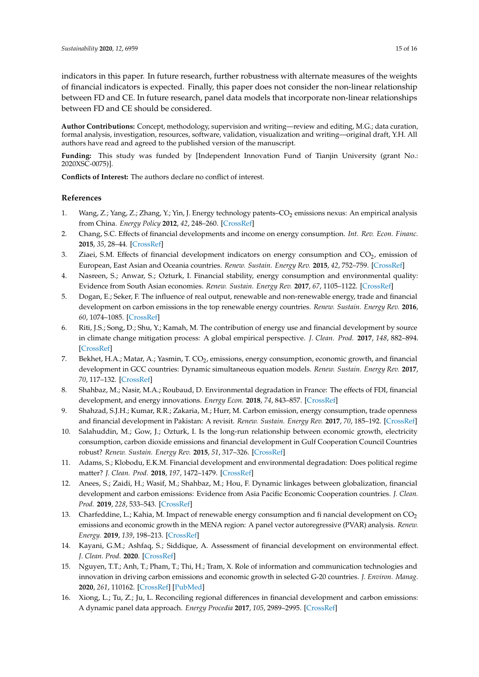indicators in this paper. In future research, further robustness with alternate measures of the weights of financial indicators is expected. Finally, this paper does not consider the non-linear relationship between FD and CE. In future research, panel data models that incorporate non-linear relationships between FD and CE should be considered.

**Author Contributions:** Concept, methodology, supervision and writing—review and editing, M.G.; data curation, formal analysis, investigation, resources, software, validation, visualization and writing—original draft, Y.H. All authors have read and agreed to the published version of the manuscript.

**Funding:** This study was funded by [Independent Innovation Fund of Tianjin University (grant No.: 2020XSC-0075)].

**Conflicts of Interest:** The authors declare no conflict of interest.

# **References**

- <span id="page-14-0"></span>1. Wang, Z.; Yang, Z.; Zhang, Y.; Yin, J. Energy technology patents–CO<sub>2</sub> emissions nexus: An empirical analysis from China. *Energy Policy* **2012**, *42*, 248–260. [\[CrossRef\]](http://dx.doi.org/10.1016/j.enpol.2011.11.082)
- <span id="page-14-1"></span>2. Chang, S.C. Effects of financial developments and income on energy consumption. *Int. Rev. Econ. Financ.* **2015**, *35*, 28–44. [\[CrossRef\]](http://dx.doi.org/10.1016/j.iref.2014.08.011)
- <span id="page-14-2"></span>3. Ziaei, S.M. Effects of financial development indicators on energy consumption and  $CO_2$ , emission of European, East Asian and Oceania countries. *Renew. Sustain. Energy Rev.* **2015**, *42*, 752–759. [\[CrossRef\]](http://dx.doi.org/10.1016/j.rser.2014.10.085)
- <span id="page-14-3"></span>4. Nasreen, S.; Anwar, S.; Ozturk, I. Financial stability, energy consumption and environmental quality: Evidence from South Asian economies. *Renew. Sustain. Energy Rev.* **2017**, *67*, 1105–1122. [\[CrossRef\]](http://dx.doi.org/10.1016/j.rser.2016.09.021)
- <span id="page-14-4"></span>5. Dogan, E.; Seker, F. The influence of real output, renewable and non-renewable energy, trade and financial development on carbon emissions in the top renewable energy countries. *Renew. Sustain. Energy Rev.* **2016**, *60*, 1074–1085. [\[CrossRef\]](http://dx.doi.org/10.1016/j.rser.2016.02.006)
- <span id="page-14-5"></span>6. Riti, J.S.; Song, D.; Shu, Y.; Kamah, M. The contribution of energy use and financial development by source in climate change mitigation process: A global empirical perspective. *J. Clean. Prod.* **2017**, *148*, 882–894. [\[CrossRef\]](http://dx.doi.org/10.1016/j.jclepro.2017.02.037)
- <span id="page-14-6"></span>7. Bekhet, H.A.; Matar, A.; Yasmin, T. CO<sub>2</sub>, emissions, energy consumption, economic growth, and financial development in GCC countries: Dynamic simultaneous equation models. *Renew. Sustain. Energy Rev.* **2017**, *70*, 117–132. [\[CrossRef\]](http://dx.doi.org/10.1016/j.rser.2016.11.089)
- <span id="page-14-7"></span>8. Shahbaz, M.; Nasir, M.A.; Roubaud, D. Environmental degradation in France: The effects of FDI, financial development, and energy innovations. *Energy Econ.* **2018**, *74*, 843–857. [\[CrossRef\]](http://dx.doi.org/10.1016/j.eneco.2018.07.020)
- <span id="page-14-8"></span>9. Shahzad, S.J.H.; Kumar, R.R.; Zakaria, M.; Hurr, M. Carbon emission, energy consumption, trade openness and financial development in Pakistan: A revisit. *Renew. Sustain. Energy Rev.* **2017**, *70*, 185–192. [\[CrossRef\]](http://dx.doi.org/10.1016/j.rser.2016.11.042)
- <span id="page-14-9"></span>10. Salahuddin, M.; Gow, J.; Ozturk, I. Is the long-run relationship between economic growth, electricity consumption, carbon dioxide emissions and financial development in Gulf Cooperation Council Countries robust? *Renew. Sustain. Energy Rev.* **2015**, *51*, 317–326. [\[CrossRef\]](http://dx.doi.org/10.1016/j.rser.2015.06.005)
- <span id="page-14-10"></span>11. Adams, S.; Klobodu, E.K.M. Financial development and environmental degradation: Does political regime matter? *J. Clean. Prod.* **2018**, *197*, 1472–1479. [\[CrossRef\]](http://dx.doi.org/10.1016/j.jclepro.2018.06.252)
- <span id="page-14-11"></span>12. Anees, S.; Zaidi, H.; Wasif, M.; Shahbaz, M.; Hou, F. Dynamic linkages between globalization, financial development and carbon emissions: Evidence from Asia Pacific Economic Cooperation countries. *J. Clean. Prod.* **2019**, *228*, 533–543. [\[CrossRef\]](http://dx.doi.org/10.1016/j.jclepro.2019.04.210)
- <span id="page-14-12"></span>13. Charfeddine, L.; Kahia, M. Impact of renewable energy consumption and fi nancial development on  $CO<sub>2</sub>$ emissions and economic growth in the MENA region: A panel vector autoregressive (PVAR) analysis. *Renew. Energy.* **2019**, *139*, 198–213. [\[CrossRef\]](http://dx.doi.org/10.1016/j.renene.2019.01.010)
- <span id="page-14-13"></span>14. Kayani, G.M.; Ashfaq, S.; Siddique, A. Assessment of financial development on environmental effect. *J. Clean. Prod.* **2020**. [\[CrossRef\]](http://dx.doi.org/10.1016/j.jclepro.2020.120984)
- <span id="page-14-14"></span>15. Nguyen, T.T.; Anh, T.; Pham, T.; Thi, H.; Tram, X. Role of information and communication technologies and innovation in driving carbon emissions and economic growth in selected G-20 countries. *J. Environ. Manag.* **2020**, *261*, 110162. [\[CrossRef\]](http://dx.doi.org/10.1016/j.jenvman.2020.110162) [\[PubMed\]](http://www.ncbi.nlm.nih.gov/pubmed/32148259)
- <span id="page-14-15"></span>16. Xiong, L.; Tu, Z.; Ju, L. Reconciling regional differences in financial development and carbon emissions: A dynamic panel data approach. *Energy Procedia* **2017**, *105*, 2989–2995. [\[CrossRef\]](http://dx.doi.org/10.1016/j.egypro.2017.03.716)